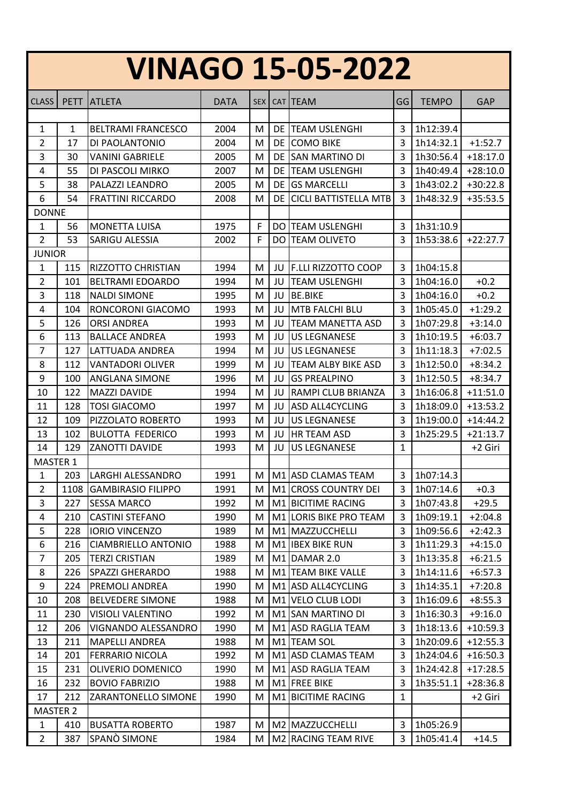| <b>VINAGO 15-05-2022</b> |             |                            |             |            |            |                              |                |               |            |
|--------------------------|-------------|----------------------------|-------------|------------|------------|------------------------------|----------------|---------------|------------|
| <b>CLASS</b>             | <b>PETT</b> | <b>ATLETA</b>              | <b>DATA</b> | <b>SEX</b> | <b>CAT</b> | <b>TEAM</b>                  | GG             | <b>TEMPO</b>  | <b>GAP</b> |
|                          |             |                            |             |            |            |                              |                |               |            |
| 1                        | 1           | <b>BELTRAMI FRANCESCO</b>  | 2004        | M          |            | <b>DE TEAM USLENGHI</b>      | 3              | 1h12:39.4     |            |
| 2                        | 17          | DI PAOLANTONIO             | 2004        | M          | DE         | <b>COMO BIKE</b>             | 3              | 1h14:32.1     | $+1:52.7$  |
| 3                        | 30          | <b>VANINI GABRIELE</b>     | 2005        | M          | DE         | ISAN MARTINO DI              | 3              | 1h30:56.4     | $+18:17.0$ |
| 4                        | 55          | DI PASCOLI MIRKO           | 2007        | M          | DE         | <b>TEAM USLENGHI</b>         | 3              | 1h40:49.4     | $+28:10.0$ |
| 5                        | 38          | PALAZZI LEANDRO            | 2005        | M          | DE         | <b>GS MARCELLI</b>           | 3              | 1h43:02.2     | $+30:22.8$ |
| 6                        | 54          | <b>FRATTINI RICCARDO</b>   | 2008        | M          | DE         | <b>CICLI BATTISTELLA MTB</b> | 3              | 1h48:32.9     | $+35:53.5$ |
| <b>DONNE</b>             |             |                            |             |            |            |                              |                |               |            |
| 1                        | 56          | <b>MONETTA LUISA</b>       | 1975        | F          | DO.        | <b>TEAM USLENGHI</b>         | 3              | 1h31:10.9     |            |
| $\overline{2}$           | 53          | SARIGU ALESSIA             | 2002        | F          | <b>DO</b>  | <b>TEAM OLIVETO</b>          | 3              | 1h53:38.6     | $+22:27.7$ |
| <b>JUNIOR</b>            |             |                            |             |            |            |                              |                |               |            |
| 1                        | 115         | <b>RIZZOTTO CHRISTIAN</b>  | 1994        | M          | JU         | <b>F.LLI RIZZOTTO COOP</b>   | 3              | 1h04:15.8     |            |
| 2                        | 101         | <b>BELTRAMI EDOARDO</b>    | 1994        | M          | JU         | <b>TEAM USLENGHI</b>         | 3              | 1h04:16.0     | $+0.2$     |
| 3                        | 118         | <b>NALDI SIMONE</b>        | 1995        | M          | JU         | <b>BE.BIKE</b>               | 3              | 1h04:16.0     | $+0.2$     |
| $\overline{4}$           | 104         | RONCORONI GIACOMO          | 1993        | M          | JU         | <b>MTB FALCHI BLU</b>        | 3              | 1h05:45.0     | $+1:29.2$  |
| 5                        | 126         | <b>ORSI ANDREA</b>         | 1993        | M          | JU         | <b>TEAM MANETTA ASD</b>      | 3              | 1h07:29.8     | $+3:14.0$  |
| 6                        | 113         | <b>BALLACE ANDREA</b>      | 1993        | M          | JU         | <b>US LEGNANESE</b>          | 3              | 1h10:19.5     | $+6:03.7$  |
| 7                        | 127         | LATTUADA ANDREA            | 1994        | M          | JU         | <b>US LEGNANESE</b>          | 3              | 1h11:18.3     | $+7:02.5$  |
| 8                        | 112         | <b>VANTADORI OLIVER</b>    | 1999        | M          | JU         | TEAM ALBY BIKE ASD           | $\overline{3}$ | 1h12:50.0     | $+8:34.2$  |
| 9                        | 100         | <b>ANGLANA SIMONE</b>      | 1996        | M          | JU         | <b>GS PREALPINO</b>          | 3              | 1h12:50.5     | $+8:34.7$  |
| 10                       | 122         | <b>MAZZI DAVIDE</b>        | 1994        | M          | JU         | RAMPI CLUB BRIANZA           | 3              | 1h16:06.8     | $+11:51.0$ |
| 11                       | 128         | <b>TOSI GIACOMO</b>        | 1997        | M          | JU         | <b>ASD ALL4CYCLING</b>       | 3              | 1h18:09.0     | $+13:53.2$ |
| 12                       | 109         | PIZZOLATO ROBERTO          | 1993        | M          | JU         | <b>US LEGNANESE</b>          | 3              | 1h19:00.0     | $+14:44.2$ |
| 13                       | 102         | <b>BULOTTA FEDERICO</b>    | 1993        | M          | JU         | <b>HR TEAM ASD</b>           | 3              | 1h25:29.5     | $+21:13.7$ |
| 14                       | 129         | ZANOTTI DAVIDE             | 1993        | M          | JU         | <b>US LEGNANESE</b>          | $\mathbf{1}$   |               | +2 Giri    |
| MASTER 1                 |             |                            |             |            |            |                              |                |               |            |
| $\mathbf{1}$             | 203         | LARGHI ALESSANDRO          | 1991        |            |            | M M1 ASD CLAMAS TEAM         |                | 3   1h07:14.3 |            |
| $\overline{2}$           | 1108        | <b>GAMBIRASIO FILIPPO</b>  | 1991        | м          |            | M1 CROSS COUNTRY DEI         | 3              | 1h07:14.6     | $+0.3$     |
| 3                        | 227         | <b>SESSA MARCO</b>         | 1992        | M          |            | M1 BICITIME RACING           | 3              | 1h07:43.8     | $+29.5$    |
| 4                        | 210         | <b>CASTINI STEFANO</b>     | 1990        | м          |            | M1 LORIS BIKE PRO TEAM       | 3              | 1h09:19.1     | $+2:04.8$  |
| 5                        | 228         | <b>IORIO VINCENZO</b>      | 1989        | M          |            | M1 MAZZUCCHELLI              | 3              | 1h09:56.6     | $+2:42.3$  |
| 6                        | 216         | <b>CIAMBRIELLO ANTONIO</b> | 1988        | M          |            | M1 <b>IBEX BIKE RUN</b>      | 3              | 1h11:29.3     | $+4:15.0$  |
| $\overline{7}$           | 205         | <b>TERZI CRISTIAN</b>      | 1989        | М          | M1         | DAMAR 2.0                    | 3              | 1h13:35.8     | $+6:21.5$  |
| 8                        | 226         | <b>SPAZZI GHERARDO</b>     | 1988        | M          |            | M1 TEAM BIKE VALLE           | 3              | 1h14:11.6     | $+6:57.3$  |
| 9                        | 224         | PREMOLI ANDREA             | 1990        | M          |            | M1 ASD ALL4CYCLING           | 3              | 1h14:35.1     | $+7:20.8$  |
| 10                       | 208         | <b>BELVEDERE SIMONE</b>    | 1988        | M          |            | M1 VELO CLUB LODI            | 3              | 1h16:09.6     | $+8:55.3$  |
| 11                       | 230         | <b>VISIOLI VALENTINO</b>   | 1992        | м          | M1         | <b>SAN MARTINO DI</b>        | 3              | 1h16:30.3     | $+9:16.0$  |
| 12                       | 206         | VIGNANDO ALESSANDRO        | 1990        | М          | M1         | <b>ASD RAGLIA TEAM</b>       | 3              | 1h18:13.6     | $+10:59.3$ |
| 13                       | 211         | <b>MAPELLI ANDREA</b>      | 1988        | M          |            | M1 TEAM SOL                  | 3              | 1h20:09.6     | $+12:55.3$ |
| 14                       | 201         | <b>FERRARIO NICOLA</b>     | 1992        | M          |            | M1 ASD CLAMAS TEAM           | 3              | 1h24:04.6     | $+16:50.3$ |
| 15                       | 231         | OLIVERIO DOMENICO          | 1990        | M          |            | M1 ASD RAGLIA TEAM           | 3              | 1h24:42.8     | $+17:28.5$ |
| 16                       | 232         | <b>BOVIO FABRIZIO</b>      | 1988        | M          |            | M1 FREE BIKE                 | 3              | 1h35:51.1     | $+28:36.8$ |
| 17                       | 212         | ZARANTONELLO SIMONE        | 1990        | м          |            | M1 BICITIME RACING           | $\mathbf{1}$   |               | +2 Giri    |
| <b>MASTER 2</b>          |             |                            |             |            |            |                              |                |               |            |
| $\mathbf{1}$             | 410         | <b>BUSATTA ROBERTO</b>     | 1987        | M          |            | M2 MAZZUCCHELLI              | 3              | 1h05:26.9     |            |
| $\overline{2}$           | 387         | SPANÒ SIMONE               | 1984        | M          |            | M2 RACING TEAM RIVE          | 3              | 1h05:41.4     | $+14.5$    |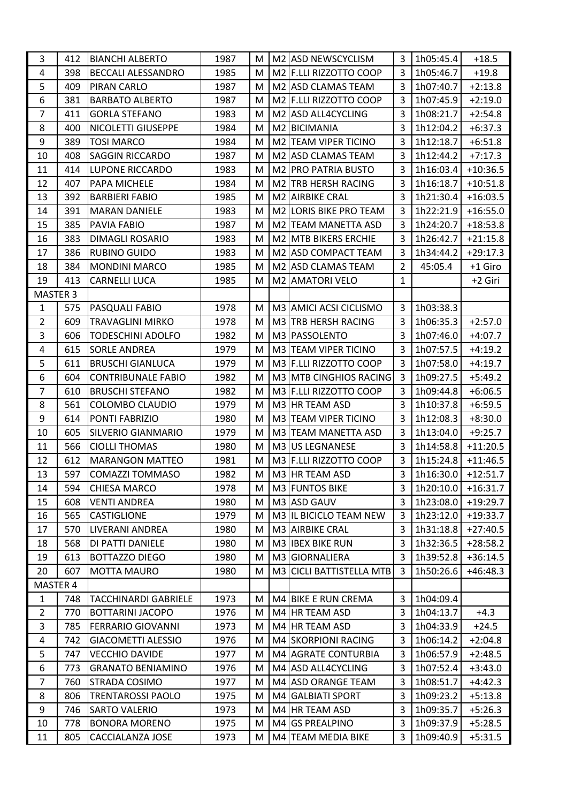| 3               | 412 | <b>BIANCHI ALBERTO</b>      | 1987 | M | M2 ASD NEWSCYCLISM                 | 3              | 1h05:45.4 | $+18.5$    |
|-----------------|-----|-----------------------------|------|---|------------------------------------|----------------|-----------|------------|
| 4               | 398 | <b>BECCALI ALESSANDRO</b>   | 1985 | M | M2 F.LLI RIZZOTTO COOP             | 3              | 1h05:46.7 | $+19.8$    |
| 5               | 409 | PIRAN CARLO                 | 1987 | M | M2 ASD CLAMAS TEAM                 | 3              | 1h07:40.7 | $+2:13.8$  |
| 6               | 381 | <b>BARBATO ALBERTO</b>      | 1987 | M | M <sub>2</sub> F.LLI RIZZOTTO COOP | 3              | 1h07:45.9 | $+2:19.0$  |
| $\overline{7}$  | 411 | <b>GORLA STEFANO</b>        | 1983 | M | M2 ASD ALL4CYCLING                 | 3              | 1h08:21.7 | $+2:54.8$  |
| 8               | 400 | <b>NICOLETTI GIUSEPPE</b>   | 1984 | M | M2 BICIMANIA                       | 3              | 1h12:04.2 | $+6:37.3$  |
| 9               | 389 | <b>TOSI MARCO</b>           | 1984 | M | M2 TEAM VIPER TICINO               | 3              | 1h12:18.7 | $+6:51.8$  |
| 10              | 408 | <b>SAGGIN RICCARDO</b>      | 1987 | M | M2 ASD CLAMAS TEAM                 | 3              | 1h12:44.2 | $+7:17.3$  |
| 11              | 414 | <b>LUPONE RICCARDO</b>      | 1983 | M | M2 PRO PATRIA BUSTO                | $\overline{3}$ | 1h16:03.4 | $+10:36.5$ |
| 12              | 407 | PAPA MICHELE                | 1984 | M | M2 TRB HERSH RACING                | 3              | 1h16:18.7 | $+10:51.8$ |
| 13              | 392 | <b>BARBIERI FABIO</b>       | 1985 | M | M2 AIRBIKE CRAL                    | 3              | 1h21:30.4 | $+16:03.5$ |
| 14              | 391 | <b>MARAN DANIELE</b>        | 1983 | M | M2 LORIS BIKE PRO TEAM             | 3              | 1h22:21.9 | $+16:55.0$ |
| 15              | 385 | PAVIA FABIO                 | 1987 | M | M2 TEAM MANETTA ASD                | 3              | 1h24:20.7 | $+18:53.8$ |
| 16              | 383 | <b>DIMAGLI ROSARIO</b>      | 1983 | M | M2 MTB BIKERS ERCHIE               | $\overline{3}$ | 1h26:42.7 | $+21:15.8$ |
| 17              | 386 | <b>RUBINO GUIDO</b>         | 1983 | M | M2 ASD COMPACT TEAM                | 3              | 1h34:44.2 | $+29:17.3$ |
| 18              | 384 | <b>MONDINI MARCO</b>        | 1985 | M | M2 ASD CLAMAS TEAM                 | $\overline{2}$ | 45:05.4   | +1 Giro    |
| 19              | 413 | <b>CARNELLI LUCA</b>        | 1985 | M | M2 AMATORI VELO                    | $\mathbf{1}$   |           | +2 Giri    |
| <b>MASTER 3</b> |     |                             |      |   |                                    |                |           |            |
| 1               | 575 | PASQUALI FABIO              | 1978 | M | M3 AMICI ACSI CICLISMO             | 3              | 1h03:38.3 |            |
| 2               | 609 | TRAVAGLINI MIRKO            | 1978 | M | M3 TRB HERSH RACING                | 3              | 1h06:35.3 | $+2:57.0$  |
| 3               | 606 | <b>TODESCHINI ADOLFO</b>    | 1982 | M | M3 PASSOLENTO                      | $\overline{3}$ | 1h07:46.0 | $+4:07.7$  |
| 4               | 615 | <b>SORLE ANDREA</b>         | 1979 | M | M3 TEAM VIPER TICINO               | 3              | 1h07:57.5 | $+4:19.2$  |
| 5               | 611 | <b>BRUSCHI GIANLUCA</b>     | 1979 | M | M3 F.LLI RIZZOTTO COOP             | 3              | 1h07:58.0 | $+4:19.7$  |
| 6               | 604 | <b>CONTRIBUNALE FABIO</b>   | 1982 | M | M3 MTB CINGHIOS RACING             | 3              | 1h09:27.5 | $+5:49.2$  |
| $\overline{7}$  | 610 | <b>BRUSCHI STEFANO</b>      | 1982 | M | M3 F.LLI RIZZOTTO COOP             | 3              | 1h09:44.8 | $+6:06.5$  |
| 8               | 561 | COLOMBO CLAUDIO             | 1979 | M | M3 HR TEAM ASD                     | 3              | 1h10:37.8 | $+6:59.5$  |
| 9               | 614 | PONTI FABRIZIO              | 1980 | M | M3 TEAM VIPER TICINO               | 3              | 1h12:08.3 | $+8:30.0$  |
| 10              | 605 | <b>SILVERIO GIANMARIO</b>   | 1979 | M | M3 TEAM MANETTA ASD                | 3              | 1h13:04.0 | $+9:25.7$  |
| 11              | 566 | <b>CIOLLI THOMAS</b>        | 1980 | M | M3 US LEGNANESE                    | 3              | 1h14:58.8 | $+11:20.5$ |
| 12              | 612 | <b>MARANGON MATTEO</b>      | 1981 | M | M3 F.LLI RIZZOTTO COOP             | 3              | 1h15:24.8 | $+11:46.5$ |
| 13              | 597 | <b>COMAZZI TOMMASO</b>      | 1982 | M | M3 HR TEAM ASD                     | $\overline{3}$ | 1h16:30.0 | $+12:51.7$ |
| 14              | 594 | <b>CHIESA MARCO</b>         | 1978 | M | M3 FUNTOS BIKE                     | 3              | 1h20:10.0 | $+16:31.7$ |
| 15              | 608 | <b>VENTI ANDREA</b>         | 1980 | M | M3 ASD GAUV                        | 3              | 1h23:08.0 | $+19:29.7$ |
| 16              | 565 | <b>CASTIGLIONE</b>          | 1979 | M | M3 IL BICICLO TEAM NEW             | 3              | 1h23:12.0 | $+19:33.7$ |
| 17              | 570 | LIVERANI ANDREA             | 1980 | M | M3 AIRBIKE CRAL                    | 3              | 1h31:18.8 | $+27:40.5$ |
| 18              | 568 | DI PATTI DANIELE            | 1980 | M | M3 IBEX BIKE RUN                   | 3              | 1h32:36.5 | $+28:58.2$ |
| 19              | 613 | <b>BOTTAZZO DIEGO</b>       | 1980 | M | M3 GIORNALIERA                     | 3              | 1h39:52.8 | +36:14.5   |
| 20              | 607 | <b>MOTTA MAURO</b>          | 1980 | M | M3 CICLI BATTISTELLA MTB           | 3              | 1h50:26.6 | $+46:48.3$ |
| MASTER 4        |     |                             |      |   |                                    |                |           |            |
| $\mathbf{1}$    | 748 | <b>TACCHINARDI GABRIELE</b> | 1973 | M | M4 BIKE E RUN CREMA                | 3              | 1h04:09.4 |            |
| $\overline{2}$  | 770 | <b>BOTTARINI JACOPO</b>     | 1976 | M | M4 HR TEAM ASD                     | 3              | 1h04:13.7 | $+4.3$     |
| 3               | 785 | <b>FERRARIO GIOVANNI</b>    | 1973 | M | M4 HR TEAM ASD                     | 3              | 1h04:33.9 | $+24.5$    |
| $\overline{a}$  | 742 | <b>GIACOMETTI ALESSIO</b>   | 1976 | M | M4 SKORPIONI RACING                | 3              | 1h06:14.2 | $+2:04.8$  |
| 5               | 747 | <b>VECCHIO DAVIDE</b>       | 1977 | M | M4 AGRATE CONTURBIA                | 3              | 1h06:57.9 | $+2:48.5$  |
| 6               | 773 | <b>GRANATO BENIAMINO</b>    | 1976 | M | M4 ASD ALL4CYCLING                 | 3              | 1h07:52.4 | $+3:43.0$  |
| 7               | 760 | STRADA COSIMO               | 1977 | M | M4 ASD ORANGE TEAM                 | 3              | 1h08:51.7 | $+4:42.3$  |
| 8               | 806 | <b>TRENTAROSSI PAOLO</b>    | 1975 | M | M4 GALBIATI SPORT                  | 3              | 1h09:23.2 | $+5:13.8$  |
| 9               | 746 | <b>SARTO VALERIO</b>        | 1973 | M | M4 HR TEAM ASD                     | 3              | 1h09:35.7 | $+5:26.3$  |
| 10              | 778 | <b>BONORA MORENO</b>        | 1975 | M | M4 GS PREALPINO                    | 3              | 1h09:37.9 | $+5:28.5$  |
| 11              | 805 | CACCIALANZA JOSE            | 1973 | M | M4 TEAM MEDIA BIKE                 | 3              | 1h09:40.9 | $+5:31.5$  |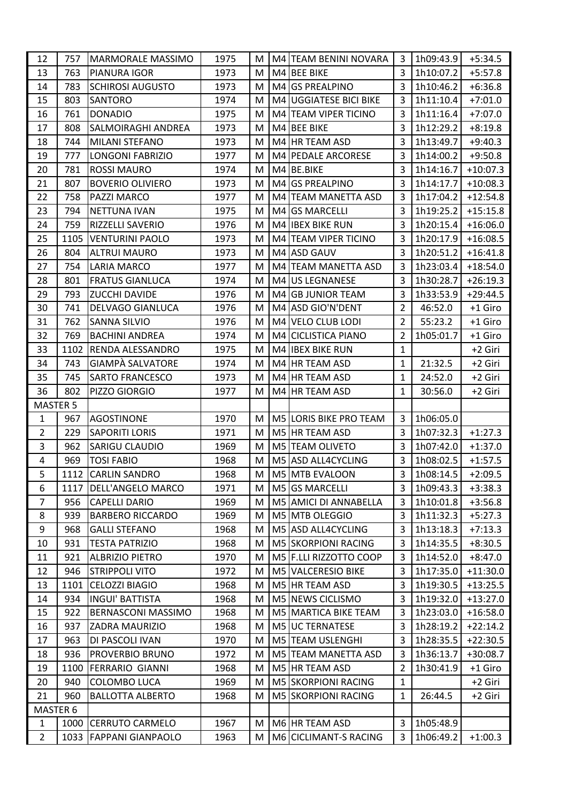| 12             | 757  | <b>MARMORALE MASSIMO</b>  | 1975 | M |    | M4 TEAM BENINI NOVARA  | 3              | 1h09:43.9 | $+5:34.5$  |
|----------------|------|---------------------------|------|---|----|------------------------|----------------|-----------|------------|
| 13             | 763  | PIANURA IGOR              | 1973 | M |    | M4 BEE BIKE            | $\overline{3}$ | 1h10:07.2 | $+5:57.8$  |
| 14             | 783  | <b>SCHIROSI AUGUSTO</b>   | 1973 | M |    | M4 GS PREALPINO        | 3              | 1h10:46.2 | $+6:36.8$  |
| 15             | 803  | <b>SANTORO</b>            | 1974 | M |    | M4 UGGIATESE BICI BIKE | 3              | 1h11:10.4 | $+7:01.0$  |
| 16             | 761  | <b>DONADIO</b>            | 1975 | M |    | M4 TEAM VIPER TICINO   | 3              | 1h11:16.4 | $+7:07.0$  |
| 17             | 808  | SALMOIRAGHI ANDREA        | 1973 | M |    | M4 BEE BIKE            | 3              | 1h12:29.2 | $+8:19.8$  |
| 18             | 744  | <b>MILANI STEFANO</b>     | 1973 | M |    | M4 HR TEAM ASD         | 3              | 1h13:49.7 | $+9:40.3$  |
| 19             | 777  | <b>LONGONI FABRIZIO</b>   | 1977 | M |    | M4 PEDALE ARCORESE     | 3              | 1h14:00.2 | $+9:50.8$  |
| 20             | 781  | <b>ROSSI MAURO</b>        | 1974 | M |    | M4 BE.BIKE             | 3              | 1h14:16.7 | $+10:07.3$ |
| 21             | 807  | <b>BOVERIO OLIVIERO</b>   | 1973 | M |    | M4 GS PREALPINO        | 3              | 1h14:17.7 | $+10:08.3$ |
| 22             | 758  | PAZZI MARCO               | 1977 | M |    | M4 TEAM MANETTA ASD    | 3              | 1h17:04.2 | $+12:54.8$ |
| 23             | 794  | <b>NETTUNA IVAN</b>       | 1975 | M |    | M4 GS MARCELLI         | 3              | 1h19:25.2 | $+15:15.8$ |
| 24             | 759  | RIZZELLI SAVERIO          | 1976 | M |    | M4 IBEX BIKE RUN       | 3              | 1h20:15.4 | $+16:06.0$ |
| 25             | 1105 | <b>VENTURINI PAOLO</b>    | 1973 | M |    | M4 TEAM VIPER TICINO   | 3              | 1h20:17.9 | $+16:08.5$ |
| 26             | 804  | <b>ALTRUI MAURO</b>       | 1973 | M |    | M4 ASD GAUV            | 3              | 1h20:51.2 | $+16:41.8$ |
| 27             | 754  | <b>LARIA MARCO</b>        | 1977 | M |    | M4 TEAM MANETTA ASD    | 3              | 1h23:03.4 | $+18:54.0$ |
| 28             | 801  | <b>FRATUS GIANLUCA</b>    | 1974 | M |    | M4 US LEGNANESE        | 3              | 1h30:28.7 | $+26:19.3$ |
| 29             | 793  | <b>ZUCCHI DAVIDE</b>      | 1976 | M | M4 | <b>GB JUNIOR TEAM</b>  | 3              | 1h33:53.9 | $+29:44.5$ |
| 30             | 741  | <b>DELVAGO GIANLUCA</b>   | 1976 | M |    | M4 ASD GIO'N'DENT      | $\overline{2}$ | 46:52.0   | +1 Giro    |
| 31             | 762  | <b>SANNA SILVIO</b>       | 1976 | M |    | M4 VELO CLUB LODI      | $\overline{2}$ | 55:23.2   | +1 Giro    |
| 32             | 769  | <b>BACHINI ANDREA</b>     | 1974 | M |    | M4 CICLISTICA PIANO    | $\overline{2}$ | 1h05:01.7 | +1 Giro    |
| 33             | 1102 | RENDA ALESSANDRO          | 1975 | M |    | M4 IBEX BIKE RUN       | $\mathbf{1}$   |           | +2 Giri    |
| 34             | 743  | GIAMPÀ SALVATORE          | 1974 | M |    | M4 HR TEAM ASD         | $\mathbf{1}$   | 21:32.5   | +2 Giri    |
| 35             | 745  | <b>SARTO FRANCESCO</b>    | 1973 | M |    | M4 HR TEAM ASD         | $\mathbf{1}$   | 24:52.0   | +2 Giri    |
| 36             | 802  | PIZZO GIORGIO             | 1977 | M |    | M4 HR TEAM ASD         | $\mathbf{1}$   | 30:56.0   | +2 Giri    |
| MASTER 5       |      |                           |      |   |    |                        |                |           |            |
| $\mathbf{1}$   | 967  | <b>AGOSTINONE</b>         | 1970 | M |    | M5 LORIS BIKE PRO TEAM | 3              | 1h06:05.0 |            |
| $\overline{2}$ | 229  | <b>SAPORITI LORIS</b>     | 1971 | M |    | M5 HR TEAM ASD         | 3              | 1h07:32.3 | $+1:27.3$  |
| 3              | 962  | <b>SARIGU CLAUDIO</b>     | 1969 | M |    | M5 TEAM OLIVETO        | 3              | 1h07:42.0 | $+1:37.0$  |
| 4              | 969  | <b>TOSI FABIO</b>         | 1968 | M |    | M5 ASD ALL4CYCLING     | 3              | 1h08:02.5 | $+1:57.5$  |
| 5              |      | 1112 CARLIN SANDRO        | 1968 | M |    | M5 MTB EVALOON         | $\overline{3}$ | 1h08:14.5 | $+2:09.5$  |
| 6              | 1117 | <b>DELL'ANGELO MARCO</b>  | 1971 | M |    | M5 GS MARCELLI         | 3              | 1h09:43.3 | $+3:38.3$  |
| $\overline{7}$ | 956  | <b>CAPELLI DARIO</b>      | 1969 | M |    | M5 AMICI DI ANNABELLA  | 3              | 1h10:01.8 | $+3:56.8$  |
| 8              | 939  | <b>BARBERO RICCARDO</b>   | 1969 | M |    | M5 MTB OLEGGIO         | 3              | 1h11:32.3 | $+5:27.3$  |
| 9              | 968  | <b>GALLI STEFANO</b>      | 1968 | M |    | M5 ASD ALL4CYCLING     | 3              | 1h13:18.3 | $+7:13.3$  |
| 10             | 931  | <b>TESTA PATRIZIO</b>     | 1968 | M |    | M5 SKORPIONI RACING    | 3              | 1h14:35.5 | $+8:30.5$  |
| 11             | 921  | <b>ALBRIZIO PIETRO</b>    | 1970 | M |    | M5 F.LLI RIZZOTTO COOP | 3              | 1h14:52.0 | $+8:47.0$  |
| 12             | 946  | <b>STRIPPOLI VITO</b>     | 1972 | M |    | M5 VALCERESIO BIKE     | 3              | 1h17:35.0 | $+11:30.0$ |
| 13             | 1101 | <b>CELOZZI BIAGIO</b>     | 1968 | M |    | M5 HR TEAM ASD         | 3              | 1h19:30.5 | $+13:25.5$ |
| 14             | 934  | <b>INGUI' BATTISTA</b>    | 1968 | M |    | M5 NEWS CICLISMO       | 3              | 1h19:32.0 | $+13:27.0$ |
| 15             | 922  | <b>BERNASCONI MASSIMO</b> | 1968 | M |    | M5 MARTICA BIKE TEAM   | 3              | 1h23:03.0 | $+16:58.0$ |
| 16             | 937  | <b>ZADRA MAURIZIO</b>     | 1968 | M |    | M5 UC TERNATESE        | 3              | 1h28:19.2 | $+22:14.2$ |
| 17             | 963  | DI PASCOLI IVAN           | 1970 | M |    | M5 TEAM USLENGHI       | 3              | 1h28:35.5 | $+22:30.5$ |
| 18             | 936  | PROVERBIO BRUNO           | 1972 | м |    | M5 TEAM MANETTA ASD    | 3              | 1h36:13.7 | $+30:08.7$ |
| 19             | 1100 | <b>FERRARIO GIANNI</b>    | 1968 | M |    | M5 HR TEAM ASD         | $\overline{2}$ | 1h30:41.9 | +1 Giro    |
| 20             | 940  | COLOMBO LUCA              | 1969 | M |    | M5 SKORPIONI RACING    | $\mathbf{1}$   |           | +2 Giri    |
| 21             | 960  | <b>BALLOTTA ALBERTO</b>   | 1968 | М |    | M5 SKORPIONI RACING    | $\mathbf{1}$   | 26:44.5   | +2 Giri    |
| MASTER 6       |      |                           |      |   |    |                        |                |           |            |
| $\mathbf{1}$   |      | 1000 CERRUTO CARMELO      | 1967 | M |    | M6 HR TEAM ASD         | 3              | 1h05:48.9 |            |
| $\overline{2}$ | 1033 | <b>FAPPANI GIANPAOLO</b>  | 1963 | M |    | M6 CICLIMANT-S RACING  | 3              | 1h06:49.2 | $+1:00.3$  |